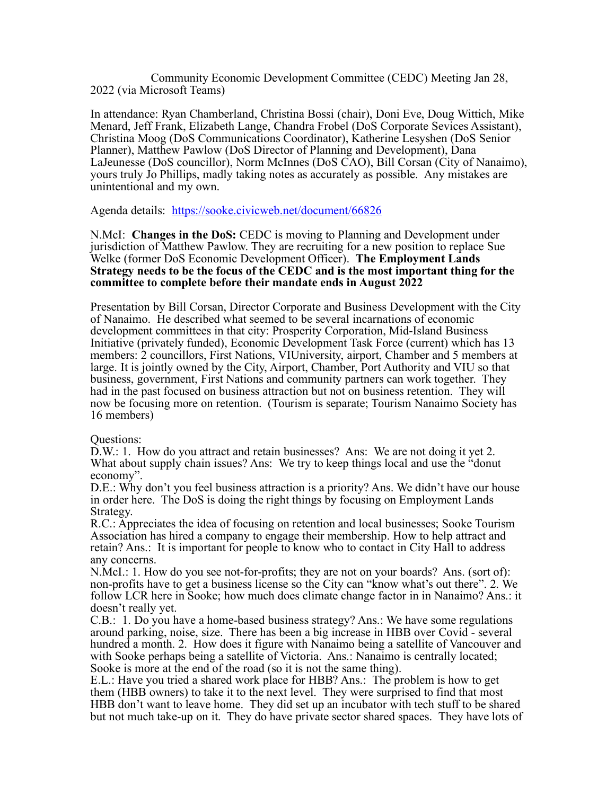Community Economic Development Committee (CEDC) Meeting Jan 28, 2022 (via Microsoft Teams)

In attendance: Ryan Chamberland, Christina Bossi (chair), Doni Eve, Doug Wittich, Mike Menard, Jeff Frank, Elizabeth Lange, Chandra Frobel (DoS Corporate Sevices Assistant), Christina Moog (DoS Communications Coordinator), Katherine Lesyshen (DoS Senior Planner), Matthew Pawlow (DoS Director of Planning and Development), Dana LaJeunesse (DoS councillor), Norm McInnes (DoS CAO), Bill Corsan (City of Nanaimo), yours truly Jo Phillips, madly taking notes as accurately as possible. Any mistakes are unintentional and my own.

Agenda details: https://sooke.civicweb.net/document/66826

N.McI: **Changes in the DoS:** CEDC is moving to Planning and Development under jurisdiction of Matthew Pawlow. They are recruiting for a new position to replace Sue Welke (former DoS Economic Development Officer). **The Employment Lands Strategy needs to be the focus of the CEDC and is the most important thing for the committee to complete before their mandate ends in August 2022** 

Presentation by Bill Corsan, Director Corporate and Business Development with the City of Nanaimo. He described what seemed to be several incarnations of economic development committees in that city: Prosperity Corporation, Mid-Island Business Initiative (privately funded), Economic Development Task Force (current) which has 13 members: 2 councillors, First Nations, VIUniversity, airport, Chamber and 5 members at large. It is jointly owned by the City, Airport, Chamber, Port Authority and VIU so that business, government, First Nations and community partners can work together. They had in the past focused on business attraction but not on business retention. They will now be focusing more on retention. (Tourism is separate; Tourism Nanaimo Society has 16 members)

Questions:

D.W.: 1. How do you attract and retain businesses? Ans: We are not doing it yet 2. What about supply chain issues? Ans: We try to keep things local and use the "donut" economy".

D.E.: Why don't you feel business attraction is a priority? Ans. We didn't have our house in order here. The DoS is doing the right things by focusing on Employment Lands Strategy.

R.C.: Appreciates the idea of focusing on retention and local businesses; Sooke Tourism Association has hired a company to engage their membership. How to help attract and retain? Ans.: It is important for people to know who to contact in City Hall to address any concerns.

N.McI.: 1. How do you see not-for-profits; they are not on your boards? Ans. (sort of): non-profits have to get a business license so the City can "know what's out there". 2. We follow LCR here in Sooke; how much does climate change factor in in Nanaimo? Ans.: it doesn't really yet.

C.B.: 1. Do you have a home-based business strategy? Ans.: We have some regulations around parking, noise, size. There has been a big increase in HBB over Covid - several hundred a month. 2. How does it figure with Nanaimo being a satellite of Vancouver and with Sooke perhaps being a satellite of Victoria. Ans.: Nanaimo is centrally located; Sooke is more at the end of the road (so it is not the same thing).

E.L.: Have you tried a shared work place for HBB? Ans.: The problem is how to get them (HBB owners) to take it to the next level. They were surprised to find that most HBB don't want to leave home. They did set up an incubator with tech stuff to be shared but not much take-up on it. They do have private sector shared spaces. They have lots of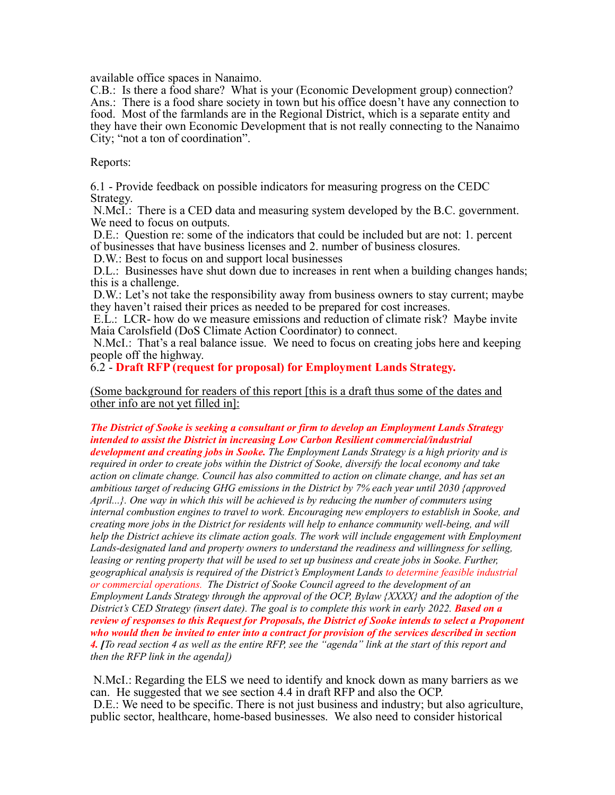available office spaces in Nanaimo.

C.B.: Is there a food share? What is your (Economic Development group) connection? Ans.: There is a food share society in town but his office doesn't have any connection to food. Most of the farmlands are in the Regional District, which is a separate entity and they have their own Economic Development that is not really connecting to the Nanaimo City; "not a ton of coordination".

Reports:

6.1 - Provide feedback on possible indicators for measuring progress on the CEDC Strategy.

N.McI.: There is a CED data and measuring system developed by the B.C. government. We need to focus on outputs.

D.E.: Question re: some of the indicators that could be included but are not: 1. percent of businesses that have business licenses and 2. number of business closures.

D.W.: Best to focus on and support local businesses

D.L.: Businesses have shut down due to increases in rent when a building changes hands; this is a challenge.

D.W.: Let's not take the responsibility away from business owners to stay current; maybe they haven't raised their prices as needed to be prepared for cost increases.

E.L.: LCR- how do we measure emissions and reduction of climate risk? Maybe invite Maia Carolsfield (DoS Climate Action Coordinator) to connect.

N.McI.: That's a real balance issue. We need to focus on creating jobs here and keeping people off the highway.

6.2 - **Draft RFP (request for proposal) for Employment Lands Strategy.**

(Some background for readers of this report [this is a draft thus some of the dates and other info are not yet filled in]:

## *The District of Sooke is seeking a consultant or firm to develop an Employment Lands Strategy intended to assist the District in increasing Low Carbon Resilient commercial/industrial*

*development and creating jobs in Sooke. The Employment Lands Strategy is a high priority and is required in order to create jobs within the District of Sooke, diversify the local economy and take action on climate change. Council has also committed to action on climate change, and has set an ambitious target of reducing GHG emissions in the District by 7% each year until 2030 {approved April...}. One way in which this will be achieved is by reducing the number of commuters using internal combustion engines to travel to work. Encouraging new employers to establish in Sooke, and creating more jobs in the District for residents will help to enhance community well-being, and will help the District achieve its climate action goals. The work will include engagement with Employment Lands-designated land and property owners to understand the readiness and willingness for selling,*  leasing or renting property that will be used to set up business and create jobs in Sooke. Further, *geographical analysis is required of the District's Employment Lands to determine feasible industrial or commercial operations. The District of Sooke Council agreed to the development of an Employment Lands Strategy through the approval of the OCP, Bylaw {XXXX} and the adoption of the District's CED Strategy (insert date). The goal is to complete this work in early 2022. Based on a review of responses to this Request for Proposals, the District of Sooke intends to select a Proponent who would then be invited to enter into a contract for provision of the services described in section 4. [To read section 4 as well as the entire RFP, see the "agenda" link at the start of this report and then the RFP link in the agenda])*

N.McI.: Regarding the ELS we need to identify and knock down as many barriers as we can. He suggested that we see section 4.4 in draft RFP and also the OCP. D.E.: We need to be specific. There is not just business and industry; but also agriculture, public sector, healthcare, home-based businesses. We also need to consider historical